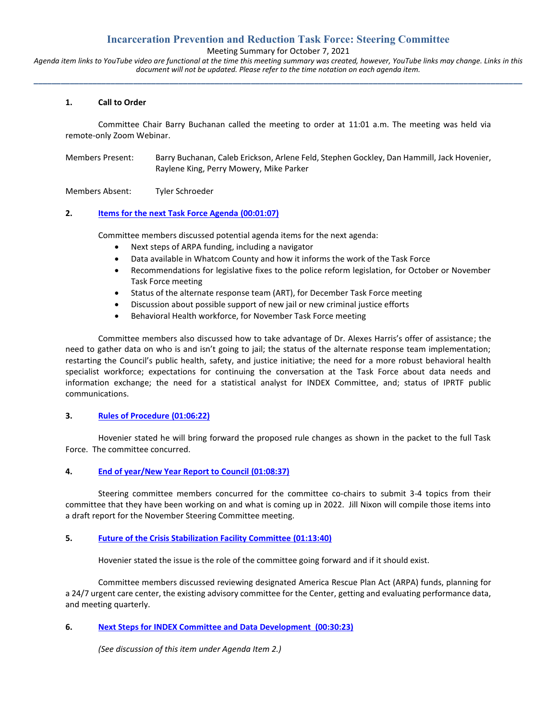# **Incarceration Prevention and Reduction Task Force: Steering Committee**

Meeting Summary for October 7, 2021

*Agenda item links to YouTube video are functional at the time this meeting summary was created, however, YouTube links may change. Links in this document will not be updated. Please refer to the time notation on each agenda item.* **\_\_\_\_\_\_\_\_\_\_\_\_\_\_\_\_\_\_\_\_\_\_\_\_\_\_\_\_\_\_\_\_\_\_\_\_\_\_\_\_\_\_\_\_\_\_\_\_\_\_\_\_\_\_\_\_\_\_\_\_\_\_\_\_\_\_\_\_\_\_\_\_\_\_\_\_\_\_\_\_\_\_\_\_\_\_\_\_\_\_\_\_\_\_\_\_\_\_\_\_\_\_\_\_\_\_\_\_**

#### **1. Call to Order**

Committee Chair Barry Buchanan called the meeting to order at 11:01 a.m. The meeting was held via remote-only Zoom Webinar.

Members Present: Barry Buchanan, Caleb Erickson, Arlene Feld, Stephen Gockley, Dan Hammill, Jack Hovenier, Raylene King, Perry Mowery, Mike Parker

Members Absent: Tyler Schroeder

#### **2. [Items for the next Task Force Agenda](https://youtu.be/vephyNy_ugo?t=67) (00:01:07)**

Committee members discussed potential agenda items for the next agenda:

- Next steps of ARPA funding, including a navigator
- Data available in Whatcom County and how it informs the work of the Task Force
- Recommendations for legislative fixes to the police reform legislation, for October or November Task Force meeting
- Status of the alternate response team (ART), for December Task Force meeting
- Discussion about possible support of new jail or new criminal justice efforts
- Behavioral Health workforce, for November Task Force meeting

Committee members also discussed how to take advantage of Dr. Alexes Harris's offer of assistance; the need to gather data on who is and isn't going to jail; the status of the alternate response team implementation; restarting the Council's public health, safety, and justice initiative; the need for a more robust behavioral health specialist workforce; expectations for continuing the conversation at the Task Force about data needs and information exchange; the need for a statistical analyst for INDEX Committee, and; status of IPRTF public communications.

#### **3. [Rules of Procedure](https://youtu.be/vephyNy_ugo?t=3982) (01:06:22)**

Hovenier stated he will bring forward the proposed rule changes as shown in the packet to the full Task Force. The committee concurred.

## **4. [End of year/New Year Report to Council](https://youtu.be/vephyNy_ugo?t=4117) (01:08:37)**

Steering committee members concurred for the committee co-chairs to submit 3-4 topics from their committee that they have been working on and what is coming up in 2022. Jill Nixon will compile those items into a draft report for the November Steering Committee meeting.

#### **5. [Future of the Crisis Stabilization Facility Committee](https://youtu.be/vephyNy_ugo?t=4421) (01:13:40)**

Hovenier stated the issue is the role of the committee going forward and if it should exist.

Committee members discussed reviewing designated America Rescue Plan Act (ARPA) funds, planning for a 24/7 urgent care center, the existing advisory committee for the Center, getting and evaluating performance data, and meeting quarterly.

#### **6. [Next Steps for INDEX Committee and Data Development \(00:30:23\)](https://youtu.be/vephyNy_ugo?t=1823)**

*(See discussion of this item under Agenda Item 2.)*